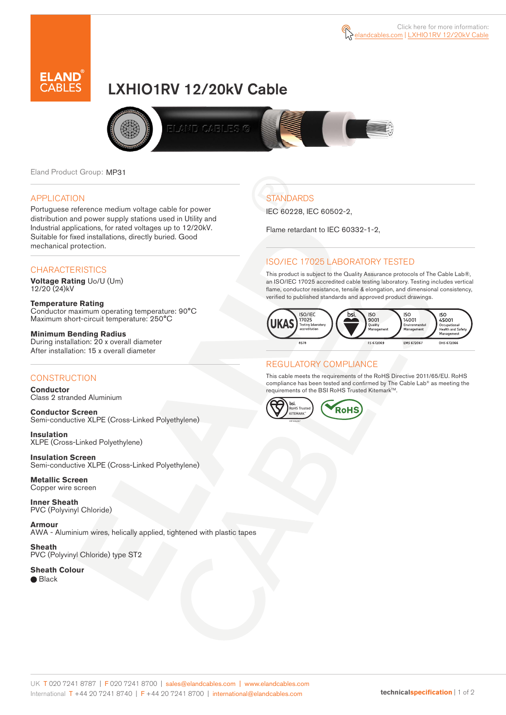



# LXHIO1RV 12/20kV Cable



Eland Product Group: MP31

#### APPLICATION

Portuguese reference medium voltage cable for power distribution and power supply stations used in Utility and Industrial applications, for rated voltages up to 12/20kV. Suitable for fixed installations, directly buried. Good mechanical protection.

#### **CHARACTERISTICS**

**Voltage Rating** Uo/U (Um) 12/20 (24)kV

**Temperature Rating** Conductor maximum operating temperature: 90°C Maximum short-circuit temperature: 250°C

**Minimum Bending Radius** During installation: 20 x overall diameter After installation: 15 x overall diameter

### **CONSTRUCTION**

**Conductor**  Class 2 stranded Aluminium

**Conductor Screen** Semi-conductive XLPE (Cross-Linked Polyethylene)

**Insulation** XLPE (Cross-Linked Polyethylene)

**Insulation Screen** Semi-conductive XLPE (Cross-Linked Polyethylene)

**Metallic Screen**  Copper wire screen

**Inner Sheath** PVC (Polyvinyl Chloride)

**Armour** AWA - Aluminium wires, helically applied, tightened with plastic tapes

**Sheath** PVC (Polyvinyl Chloride) type ST2

**Sheath Colour**  ● Black

**STANDARDS** 

IEC 60228, IEC 60502-2,

Flame retardant to IEC 60332-1-2,

## ISO/IEC 17025 LABORATORY TESTED

This product is subject to the Quality Assurance protocols of The Cable Lab®, an ISO/IEC 17025 accredited cable testing laboratory. Testing includes vertical flame, conductor resistance, tensile & elongation, and dimensional consistency, verified to published standards and approved product drawings.



### REGULATORY COMPLIANCE

This cable meets the requirements of the RoHS Directive 2011/65/EU. RoHS compliance has been tested and confirmed by The Cable Lab® as meeting the requirements of the BSI RoHS Trusted Kitemark™.